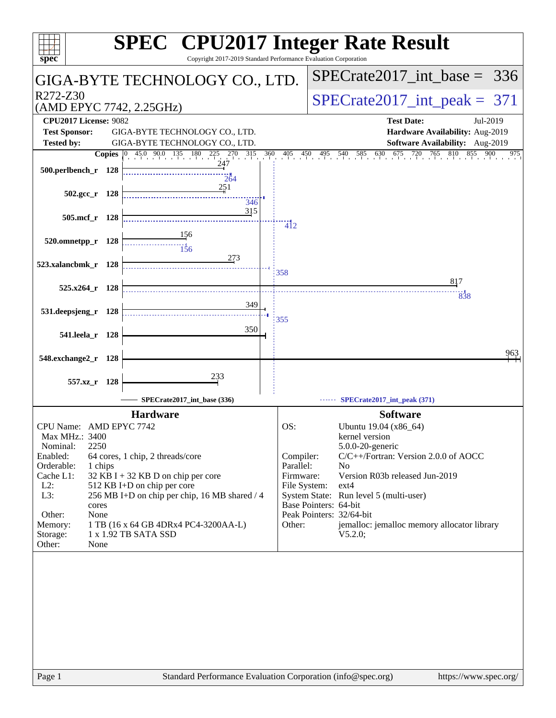| spec <sup>®</sup>                                                                   | Copyright 2017-2019 Standard Performance Evaluation Corporation  |                              | <b>SPEC<sup>®</sup> CPU2017 Integer Rate Result</b>                                                                                                                                 |
|-------------------------------------------------------------------------------------|------------------------------------------------------------------|------------------------------|-------------------------------------------------------------------------------------------------------------------------------------------------------------------------------------|
| GIGA-BYTE TECHNOLOGY CO., LTD.                                                      |                                                                  |                              | $SPECrate2017$ _int_base =<br>336                                                                                                                                                   |
| R272-Z30<br>(AMD EPYC 7742, 2.25GHz)                                                |                                                                  |                              | $SPECTate2017\_int\_peak = 371$                                                                                                                                                     |
| <b>CPU2017 License: 9082</b><br><b>Test Sponsor:</b>                                |                                                                  |                              | <b>Test Date:</b><br>Jul-2019<br>Hardware Availability: Aug-2019                                                                                                                    |
| <b>Tested by:</b>                                                                   | GIGA-BYTE TECHNOLOGY CO., LTD.<br>GIGA-BYTE TECHNOLOGY CO., LTD. |                              | Software Availability: Aug-2019                                                                                                                                                     |
| 500.perlbench_r 128                                                                 | 264                                                              |                              | 765 810 855<br><b>Copies</b> $\begin{bmatrix} 0 & 45.0 & 90.0 & 135 & 180 & 225 & 270 & 315 & 360 & 405 & 450 & 495 & 540 & 585 & 630 & 675 & 720 \end{bmatrix}$<br>900<br>$^{975}$ |
| $502.\text{gcc r}$ 128                                                              | 251<br>346                                                       |                              |                                                                                                                                                                                     |
| 505.mcf_r 128                                                                       | 315                                                              | $\overline{4}$ <sub>12</sub> |                                                                                                                                                                                     |
| 520.omnetpp_r 128                                                                   | <u>156</u><br>$\frac{11}{156}$                                   |                              |                                                                                                                                                                                     |
| 523.xalancbmk r 128                                                                 | 273                                                              | 358                          |                                                                                                                                                                                     |
| $525.x264$ r 128                                                                    |                                                                  |                              | 817<br>838                                                                                                                                                                          |
| 531.deepsjeng_r 128                                                                 | 349                                                              | 355                          |                                                                                                                                                                                     |
| 541.leela_r 128                                                                     | 350                                                              |                              |                                                                                                                                                                                     |
| 548.exchange2_r 128                                                                 |                                                                  |                              | 963                                                                                                                                                                                 |
| 557.xz_r 128                                                                        | 233                                                              |                              |                                                                                                                                                                                     |
|                                                                                     | SPECrate2017_int_base (336)                                      |                              | SPECrate2017_int_peak (371)                                                                                                                                                         |
| <b>Hardware</b>                                                                     |                                                                  |                              | <b>Software</b>                                                                                                                                                                     |
| CPU Name: AMD EPYC 7742<br>Max MHz.: 3400                                           |                                                                  | OS:                          | Ubuntu 19.04 (x86 64)<br>kernel version                                                                                                                                             |
| Nominal:<br>2250<br>Enabled:<br>64 cores, 1 chip, 2 threads/core                    |                                                                  | Compiler:                    | 5.0.0-20-generic<br>C/C++/Fortran: Version 2.0.0 of AOCC                                                                                                                            |
| Orderable:<br>1 chips<br>Cache L1:<br>32 KB I + 32 KB D on chip per core            |                                                                  | Parallel:<br>Firmware:       | N <sub>o</sub><br>Version R03b released Jun-2019                                                                                                                                    |
| 512 KB I+D on chip per core<br>$L2$ :                                               |                                                                  | File System:                 | $ext{4}$                                                                                                                                                                            |
| L3:<br>cores                                                                        | 256 MB I+D on chip per chip, 16 MB shared / 4                    |                              | System State: Run level 5 (multi-user)<br>Base Pointers: 64-bit                                                                                                                     |
| None<br>Other:                                                                      |                                                                  |                              | Peak Pointers: 32/64-bit                                                                                                                                                            |
| 1 TB (16 x 64 GB 4DRx4 PC4-3200AA-L)<br>Memory:<br>1 x 1.92 TB SATA SSD<br>Storage: |                                                                  | Other:                       | jemalloc: jemalloc memory allocator library<br>V5.2.0;                                                                                                                              |
| Other:<br>None                                                                      |                                                                  |                              |                                                                                                                                                                                     |
|                                                                                     |                                                                  |                              |                                                                                                                                                                                     |
| Page 1                                                                              | Standard Performance Evaluation Corporation (info@spec.org)      |                              | https://www.spec.org/                                                                                                                                                               |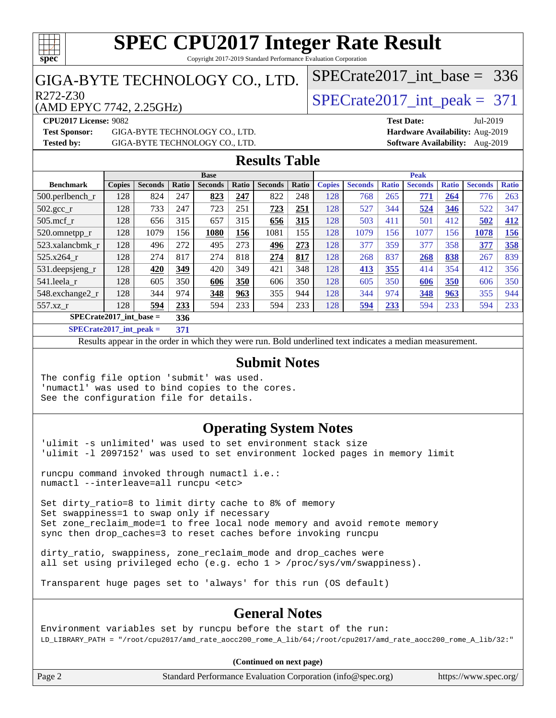

#### **[SPEC CPU2017 Integer Rate Result](http://www.spec.org/auto/cpu2017/Docs/result-fields.html#SPECCPU2017IntegerRateResult)** Copyright 2017-2019 Standard Performance Evaluation Corporation

### GIGA-BYTE TECHNOLOGY CO., LTD.

(AMD EPYC 7742, 2.25GHz)

 $R272-Z30$ <br>  $\langle \text{MDEPVC } 7742, 225 \text{GHz} \rangle$   $\langle \text{SPECrate } 2017 \text{ int } \text{peak } = 371 \rangle$ 

[SPECrate2017\\_int\\_base =](http://www.spec.org/auto/cpu2017/Docs/result-fields.html#SPECrate2017intbase) 336

**[Test Sponsor:](http://www.spec.org/auto/cpu2017/Docs/result-fields.html#TestSponsor)** GIGA-BYTE TECHNOLOGY CO., LTD. **[Hardware Availability:](http://www.spec.org/auto/cpu2017/Docs/result-fields.html#HardwareAvailability)** Aug-2019 **[Tested by:](http://www.spec.org/auto/cpu2017/Docs/result-fields.html#Testedby)** GIGA-BYTE TECHNOLOGY CO., LTD. **[Software Availability:](http://www.spec.org/auto/cpu2017/Docs/result-fields.html#SoftwareAvailability)** Aug-2019

**[CPU2017 License:](http://www.spec.org/auto/cpu2017/Docs/result-fields.html#CPU2017License)** 9082 **[Test Date:](http://www.spec.org/auto/cpu2017/Docs/result-fields.html#TestDate)** Jul-2019

### **[Results Table](http://www.spec.org/auto/cpu2017/Docs/result-fields.html#ResultsTable)**

| <b>Base</b>               |                |       |                |       |                | <b>Peak</b> |               |                |              |                |              |                |              |
|---------------------------|----------------|-------|----------------|-------|----------------|-------------|---------------|----------------|--------------|----------------|--------------|----------------|--------------|
| <b>Copies</b>             | <b>Seconds</b> | Ratio | <b>Seconds</b> | Ratio | <b>Seconds</b> | Ratio       | <b>Copies</b> | <b>Seconds</b> | <b>Ratio</b> | <b>Seconds</b> | <b>Ratio</b> | <b>Seconds</b> | <b>Ratio</b> |
| 128                       | 824            | 247   | 823            | 247   | 822            | 248         | 128           | 768            | 265          | 771            | 264          | 776            | 263          |
| 128                       | 733            | 247   | 723            | 251   | 723            | 251         | 128           | 527            | 344          | 524            | 346          | 522            | 347          |
| 128                       | 656            | 315   | 657            | 315   | 656            | 315         | 128           | 503            | 411          | 501            | 412          | 502            | 412          |
| 128                       | 1079           | 156   | 1080           | 156   | 1081           | 155         | 128           | 1079           | 156          | 1077           | 156          | 1078           | 156          |
| 128                       | 496            | 272   | 495            | 273   | 496            | 273         | 128           | 377            | 359          | 377            | 358          | 377            | 358          |
| 128                       | 274            | 817   | 274            | 818   | 274            | 817         | 128           | 268            | 837          | 268            | 838          | 267            | 839          |
| 128                       | 420            | 349   | 420            | 349   | 421            | 348         | 128           | 413            | 355          | 414            | 354          | 412            | 356          |
| 128                       | 605            | 350   | 606            | 350   | 606            | 350         | 128           | 605            | 350          | 606            | 350          | 606            | 350          |
| 128                       | 344            | 974   | 348            | 963   | 355            | 944         | 128           | 344            | 974          | 348            | 963          | 355            | 944          |
| 128                       | 594            | 233   | 594            | 233   | 594            | 233         | 128           | 594            | 233          | 594            | 233          | 594            | 233          |
| $SPECrate2017$ int base = |                |       |                |       |                |             |               |                |              |                |              |                |              |
|                           |                |       | 336            |       |                |             |               |                |              |                |              |                |              |

**[SPECrate2017\\_int\\_peak =](http://www.spec.org/auto/cpu2017/Docs/result-fields.html#SPECrate2017intpeak) 371**

Results appear in the [order in which they were run](http://www.spec.org/auto/cpu2017/Docs/result-fields.html#RunOrder). Bold underlined text [indicates a median measurement](http://www.spec.org/auto/cpu2017/Docs/result-fields.html#Median).

#### **[Submit Notes](http://www.spec.org/auto/cpu2017/Docs/result-fields.html#SubmitNotes)**

The config file option 'submit' was used. 'numactl' was used to bind copies to the cores. See the configuration file for details.

### **[Operating System Notes](http://www.spec.org/auto/cpu2017/Docs/result-fields.html#OperatingSystemNotes)**

'ulimit -s unlimited' was used to set environment stack size 'ulimit -l 2097152' was used to set environment locked pages in memory limit

runcpu command invoked through numactl i.e.: numactl --interleave=all runcpu <etc>

Set dirty\_ratio=8 to limit dirty cache to 8% of memory Set swappiness=1 to swap only if necessary Set zone\_reclaim\_mode=1 to free local node memory and avoid remote memory sync then drop\_caches=3 to reset caches before invoking runcpu

dirty\_ratio, swappiness, zone\_reclaim\_mode and drop\_caches were all set using privileged echo (e.g. echo 1 > /proc/sys/vm/swappiness).

Transparent huge pages set to 'always' for this run (OS default)

### **[General Notes](http://www.spec.org/auto/cpu2017/Docs/result-fields.html#GeneralNotes)**

Environment variables set by runcpu before the start of the run: LD\_LIBRARY\_PATH = "/root/cpu2017/amd\_rate\_aocc200\_rome\_A\_lib/64;/root/cpu2017/amd\_rate\_aocc200\_rome\_A\_lib/32:"

**(Continued on next page)**

Page 2 Standard Performance Evaluation Corporation [\(info@spec.org\)](mailto:info@spec.org) <https://www.spec.org/>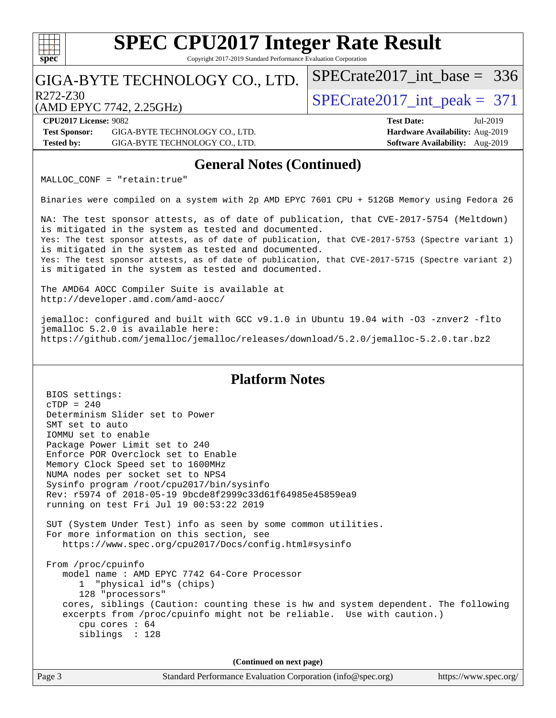

Copyright 2017-2019 Standard Performance Evaluation Corporation

### GIGA-BYTE TECHNOLOGY CO., LTD.

 $R272-Z30$ <br>  $\langle \text{MDEPVC } 7742, 225 \text{GHz} \rangle$   $\langle \text{SPECrate} 2017 \text{int\_peak} = 371 \rangle$ 

[SPECrate2017\\_int\\_base =](http://www.spec.org/auto/cpu2017/Docs/result-fields.html#SPECrate2017intbase) 336

(AMD EPYC 7742, 2.25GHz)

**[CPU2017 License:](http://www.spec.org/auto/cpu2017/Docs/result-fields.html#CPU2017License)** 9082 **[Test Date:](http://www.spec.org/auto/cpu2017/Docs/result-fields.html#TestDate)** Jul-2019 **[Test Sponsor:](http://www.spec.org/auto/cpu2017/Docs/result-fields.html#TestSponsor)** GIGA-BYTE TECHNOLOGY CO., LTD. **[Hardware Availability:](http://www.spec.org/auto/cpu2017/Docs/result-fields.html#HardwareAvailability)** Aug-2019 **[Tested by:](http://www.spec.org/auto/cpu2017/Docs/result-fields.html#Testedby)** GIGA-BYTE TECHNOLOGY CO., LTD. **[Software Availability:](http://www.spec.org/auto/cpu2017/Docs/result-fields.html#SoftwareAvailability)** Aug-2019

### **[General Notes \(Continued\)](http://www.spec.org/auto/cpu2017/Docs/result-fields.html#GeneralNotes)**

MALLOC\_CONF = "retain:true"

Binaries were compiled on a system with 2p AMD EPYC 7601 CPU + 512GB Memory using Fedora 26

NA: The test sponsor attests, as of date of publication, that CVE-2017-5754 (Meltdown) is mitigated in the system as tested and documented. Yes: The test sponsor attests, as of date of publication, that CVE-2017-5753 (Spectre variant 1) is mitigated in the system as tested and documented. Yes: The test sponsor attests, as of date of publication, that CVE-2017-5715 (Spectre variant 2) is mitigated in the system as tested and documented.

The AMD64 AOCC Compiler Suite is available at <http://developer.amd.com/amd-aocc/>

jemalloc: configured and built with GCC v9.1.0 in Ubuntu 19.04 with -O3 -znver2 -flto jemalloc 5.2.0 is available here: <https://github.com/jemalloc/jemalloc/releases/download/5.2.0/jemalloc-5.2.0.tar.bz2>

#### **[Platform Notes](http://www.spec.org/auto/cpu2017/Docs/result-fields.html#PlatformNotes)**

 BIOS settings: cTDP = 240 Determinism Slider set to Power SMT set to auto IOMMU set to enable Package Power Limit set to 240 Enforce POR Overclock set to Enable Memory Clock Speed set to 1600MHz NUMA nodes per socket set to NPS4 Sysinfo program /root/cpu2017/bin/sysinfo Rev: r5974 of 2018-05-19 9bcde8f2999c33d61f64985e45859ea9 running on test Fri Jul 19 00:53:22 2019 SUT (System Under Test) info as seen by some common utilities. For more information on this section, see <https://www.spec.org/cpu2017/Docs/config.html#sysinfo> From /proc/cpuinfo model name : AMD EPYC 7742 64-Core Processor 1 "physical id"s (chips) 128 "processors" cores, siblings (Caution: counting these is hw and system dependent. The following excerpts from /proc/cpuinfo might not be reliable. Use with caution.) cpu cores : 64 siblings : 128 **(Continued on next page)**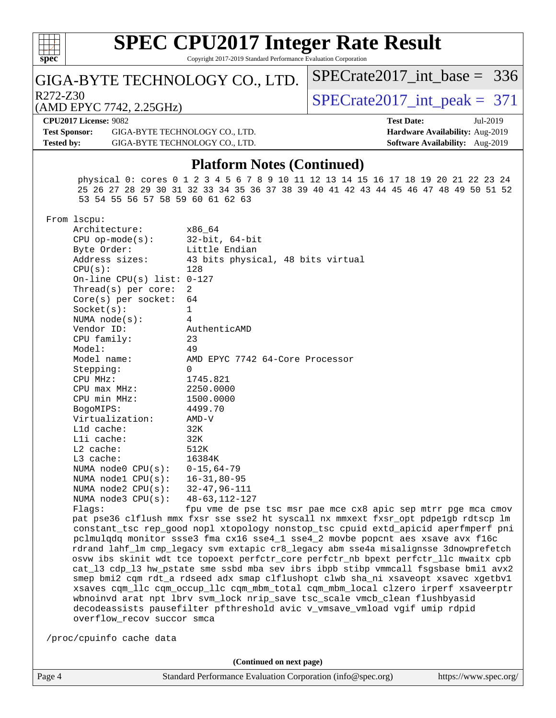| c.<br>r |  |  |  |  |  |  |  |
|---------|--|--|--|--|--|--|--|

#### **[SPEC CPU2017 Integer Rate Result](http://www.spec.org/auto/cpu2017/Docs/result-fields.html#SPECCPU2017IntegerRateResult)** Copyright 2017-2019 Standard Performance Evaluation Corporation

### GIGA-BYTE TECHNOLOGY CO., LTD.

 $R272-Z30$ <br>  $\langle \text{MDEPVC } 7742, 225 \text{GHz} \rangle$   $\langle \text{SPECrate} 2017 \text{int\_peak} = 371 \rangle$ 

[SPECrate2017\\_int\\_base =](http://www.spec.org/auto/cpu2017/Docs/result-fields.html#SPECrate2017intbase) 336

(AMD EPYC 7742, 2.25GHz)

**[CPU2017 License:](http://www.spec.org/auto/cpu2017/Docs/result-fields.html#CPU2017License)** 9082 **[Test Date:](http://www.spec.org/auto/cpu2017/Docs/result-fields.html#TestDate)** Jul-2019 **[Test Sponsor:](http://www.spec.org/auto/cpu2017/Docs/result-fields.html#TestSponsor)** GIGA-BYTE TECHNOLOGY CO., LTD. **[Hardware Availability:](http://www.spec.org/auto/cpu2017/Docs/result-fields.html#HardwareAvailability)** Aug-2019 **[Tested by:](http://www.spec.org/auto/cpu2017/Docs/result-fields.html#Testedby)** GIGA-BYTE TECHNOLOGY CO., LTD. **[Software Availability:](http://www.spec.org/auto/cpu2017/Docs/result-fields.html#SoftwareAvailability)** Aug-2019

# **[Platform Notes \(Continued\)](http://www.spec.org/auto/cpu2017/Docs/result-fields.html#PlatformNotes)**

 physical 0: cores 0 1 2 3 4 5 6 7 8 9 10 11 12 13 14 15 16 17 18 19 20 21 22 23 24 25 26 27 28 29 30 31 32 33 34 35 36 37 38 39 40 41 42 43 44 45 46 47 48 49 50 51 52 53 54 55 56 57 58 59 60 61 62 63

From lscpu:

| Architecture:                     | x86 64                                                   |
|-----------------------------------|----------------------------------------------------------|
| $CPU$ op-mode( $s$ ):             | $32$ -bit, $64$ -bit                                     |
| Byte Order:                       | Little Endian                                            |
| Address sizes:                    | 43 bits physical, 48 bits virtual                        |
| CPU(s):                           | 128                                                      |
| On-line CPU(s) list: $0-127$      |                                                          |
| Thread(s) per core:               | 2                                                        |
| $Core(s)$ per socket:             | 64                                                       |
| Socket(s):                        | $\mathbf{1}$                                             |
| NUMA $node(s)$ :                  | 4                                                        |
| Vendor ID:                        | AuthenticAMD                                             |
| CPU family:                       | 23                                                       |
| Model:                            | 49                                                       |
| Model name:                       | AMD EPYC 7742 64-Core Processor                          |
| Stepping:                         | $\Omega$                                                 |
| CPU MHz:                          | 1745.821                                                 |
| $CPU$ $max$ $MHz$ :               | 2250.0000                                                |
| CPU min MHz:                      | 1500.0000                                                |
| BogoMIPS:                         | 4499.70                                                  |
| Virtualization:                   | AMD-V                                                    |
| L1d cache:                        | 32K                                                      |
| Lli cache:                        | 32K                                                      |
| $L2$ cache:                       | 512K                                                     |
| $L3$ cache:                       | 16384K                                                   |
| NUMA node0 $CPU(s): 0-15, 64-79$  |                                                          |
| NUMA node1 CPU(s): 16-31,80-95    |                                                          |
| NUMA node2 CPU(s): 32-47,96-111   |                                                          |
| NUMA node3 CPU(s): 48-63, 112-127 |                                                          |
| Flaqs:                            | fpu vme de pse tsc msr pae mce cx8                       |
|                                   | pat pse36 clflush mmx fxsr sse sse2 ht syscall nx mmxext |
|                                   | constant tsc rep good nopl xtopology nonstop tsc cpuid   |

apic sep mtrr pge mca cmov fxsr\_opt pdpe1gb rdtscp lm extd\_apicid aperfmperf pni pclmulqdq monitor ssse3 fma cx16 sse4\_1 sse4\_2 movbe popcnt aes xsave avx f16c rdrand lahf\_lm cmp\_legacy svm extapic cr8\_legacy abm sse4a misalignsse 3dnowprefetch osvw ibs skinit wdt tce topoext perfctr\_core perfctr\_nb bpext perfctr\_llc mwaitx cpb cat\_l3 cdp\_l3 hw\_pstate sme ssbd mba sev ibrs ibpb stibp vmmcall fsgsbase bmi1 avx2 smep bmi2 cqm rdt\_a rdseed adx smap clflushopt clwb sha\_ni xsaveopt xsavec xgetbv1 xsaves cqm\_llc cqm\_occup\_llc cqm\_mbm\_total cqm\_mbm\_local clzero irperf xsaveerptr wbnoinvd arat npt lbrv svm\_lock nrip\_save tsc\_scale vmcb\_clean flushbyasid decodeassists pausefilter pfthreshold avic v\_vmsave\_vmload vgif umip rdpid overflow\_recov succor smca

/proc/cpuinfo cache data

**(Continued on next page)**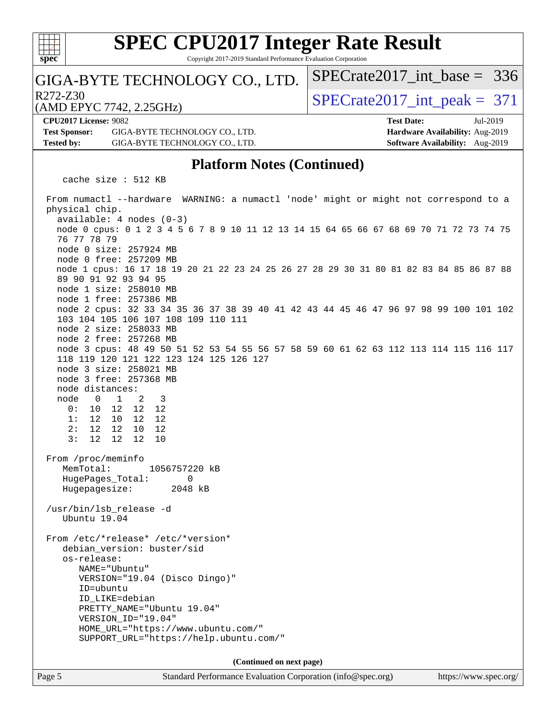

Copyright 2017-2019 Standard Performance Evaluation Corporation

### GIGA-BYTE TECHNOLOGY CO., LTD.

 $R272-Z30$ <br>  $\langle \text{MDEPVC } 7742, 225 \text{GHz} \rangle$   $\langle \text{SPECrate} 2017 \text{int\_peak} = 371 \rangle$ 

[SPECrate2017\\_int\\_base =](http://www.spec.org/auto/cpu2017/Docs/result-fields.html#SPECrate2017intbase) 336

(AMD EPYC 7742, 2.25GHz)

**[Test Sponsor:](http://www.spec.org/auto/cpu2017/Docs/result-fields.html#TestSponsor)** GIGA-BYTE TECHNOLOGY CO., LTD. **[Hardware Availability:](http://www.spec.org/auto/cpu2017/Docs/result-fields.html#HardwareAvailability)** Aug-2019 **[Tested by:](http://www.spec.org/auto/cpu2017/Docs/result-fields.html#Testedby)** GIGA-BYTE TECHNOLOGY CO., LTD. **[Software Availability:](http://www.spec.org/auto/cpu2017/Docs/result-fields.html#SoftwareAvailability)** Aug-2019

**[CPU2017 License:](http://www.spec.org/auto/cpu2017/Docs/result-fields.html#CPU2017License)** 9082 **[Test Date:](http://www.spec.org/auto/cpu2017/Docs/result-fields.html#TestDate)** Jul-2019

#### **[Platform Notes \(Continued\)](http://www.spec.org/auto/cpu2017/Docs/result-fields.html#PlatformNotes)**

cache size : 512 KB

 From numactl --hardware WARNING: a numactl 'node' might or might not correspond to a physical chip. available: 4 nodes (0-3) node 0 cpus: 0 1 2 3 4 5 6 7 8 9 10 11 12 13 14 15 64 65 66 67 68 69 70 71 72 73 74 75 76 77 78 79 node 0 size: 257924 MB node 0 free: 257209 MB node 1 cpus: 16 17 18 19 20 21 22 23 24 25 26 27 28 29 30 31 80 81 82 83 84 85 86 87 88 89 90 91 92 93 94 95 node 1 size: 258010 MB node 1 free: 257386 MB node 2 cpus: 32 33 34 35 36 37 38 39 40 41 42 43 44 45 46 47 96 97 98 99 100 101 102 103 104 105 106 107 108 109 110 111 node 2 size: 258033 MB node 2 free: 257268 MB node 3 cpus: 48 49 50 51 52 53 54 55 56 57 58 59 60 61 62 63 112 113 114 115 116 117 118 119 120 121 122 123 124 125 126 127 node 3 size: 258021 MB node 3 free: 257368 MB node distances: node 0 1 2 3 0: 10 12 12 12 1: 12 10 12 12 2: 12 12 10 12 3: 12 12 12 10 From /proc/meminfo MemTotal: 1056757220 kB HugePages\_Total: 0 Hugepagesize: 2048 kB /usr/bin/lsb\_release -d Ubuntu 19.04 From /etc/\*release\* /etc/\*version\* debian\_version: buster/sid os-release: NAME="Ubuntu" VERSION="19.04 (Disco Dingo)" ID=ubuntu ID\_LIKE=debian PRETTY\_NAME="Ubuntu 19.04" VERSION\_ID="19.04" HOME\_URL="<https://www.ubuntu.com/"> SUPPORT\_URL="<https://help.ubuntu.com/"> **(Continued on next page)**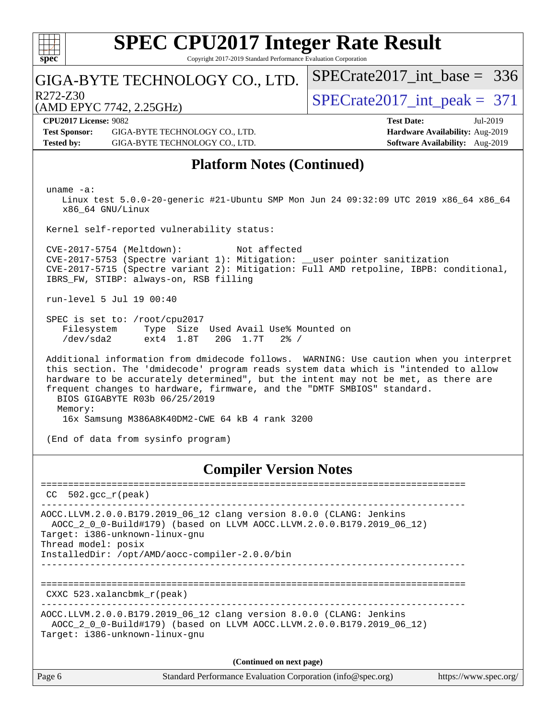

Copyright 2017-2019 Standard Performance Evaluation Corporation

### GIGA-BYTE TECHNOLOGY CO., LTD.

 $R272-Z30$ <br>  $\langle \text{MDEPVC } 7742, 225 \text{GHz} \rangle$   $\langle \text{SPECrate } 2017 \text{ int } \text{peak } = 371 \rangle$ 

[SPECrate2017\\_int\\_base =](http://www.spec.org/auto/cpu2017/Docs/result-fields.html#SPECrate2017intbase) 336

(AMD EPYC 7742, 2.25GHz) **[CPU2017 License:](http://www.spec.org/auto/cpu2017/Docs/result-fields.html#CPU2017License)** 9082 **[Test Date:](http://www.spec.org/auto/cpu2017/Docs/result-fields.html#TestDate)** Jul-2019

**[Test Sponsor:](http://www.spec.org/auto/cpu2017/Docs/result-fields.html#TestSponsor)** GIGA-BYTE TECHNOLOGY CO., LTD. **[Hardware Availability:](http://www.spec.org/auto/cpu2017/Docs/result-fields.html#HardwareAvailability)** Aug-2019 **[Tested by:](http://www.spec.org/auto/cpu2017/Docs/result-fields.html#Testedby)** GIGA-BYTE TECHNOLOGY CO., LTD. **[Software Availability:](http://www.spec.org/auto/cpu2017/Docs/result-fields.html#SoftwareAvailability)** Aug-2019

### **[Platform Notes \(Continued\)](http://www.spec.org/auto/cpu2017/Docs/result-fields.html#PlatformNotes)**

uname -a:

 Linux test 5.0.0-20-generic #21-Ubuntu SMP Mon Jun 24 09:32:09 UTC 2019 x86\_64 x86\_64 x86\_64 GNU/Linux

Kernel self-reported vulnerability status:

 CVE-2017-5754 (Meltdown): Not affected CVE-2017-5753 (Spectre variant 1): Mitigation: \_\_user pointer sanitization CVE-2017-5715 (Spectre variant 2): Mitigation: Full AMD retpoline, IBPB: conditional, IBRS\_FW, STIBP: always-on, RSB filling

run-level 5 Jul 19 00:40

 SPEC is set to: /root/cpu2017 Filesystem Type Size Used Avail Use% Mounted on /dev/sda2 ext4 1.8T 20G 1.7T 2% /

 Additional information from dmidecode follows. WARNING: Use caution when you interpret this section. The 'dmidecode' program reads system data which is "intended to allow hardware to be accurately determined", but the intent may not be met, as there are frequent changes to hardware, firmware, and the "DMTF SMBIOS" standard. BIOS GIGABYTE R03b 06/25/2019 Memory: 16x Samsung M386A8K40DM2-CWE 64 kB 4 rank 3200

(End of data from sysinfo program)

#### **[Compiler Version Notes](http://www.spec.org/auto/cpu2017/Docs/result-fields.html#CompilerVersionNotes)**

Page 6 Standard Performance Evaluation Corporation [\(info@spec.org\)](mailto:info@spec.org) <https://www.spec.org/> ============================================================================== CC 502.gcc\_r(peak) ------------------------------------------------------------------------------ AOCC.LLVM.2.0.0.B179.2019\_06\_12 clang version 8.0.0 (CLANG: Jenkins AOCC\_2\_0\_0-Build#179) (based on LLVM AOCC.LLVM.2.0.0.B179.2019\_06\_12) Target: i386-unknown-linux-gnu Thread model: posix InstalledDir: /opt/AMD/aocc-compiler-2.0.0/bin ------------------------------------------------------------------------------ ============================================================================== CXXC 523.xalancbmk\_r(peak) ------------------------------------------------------------------------------ AOCC.LLVM.2.0.0.B179.2019\_06\_12 clang version 8.0.0 (CLANG: Jenkins AOCC\_2\_0\_0-Build#179) (based on LLVM AOCC.LLVM.2.0.0.B179.2019\_06\_12) Target: i386-unknown-linux-gnu **(Continued on next page)**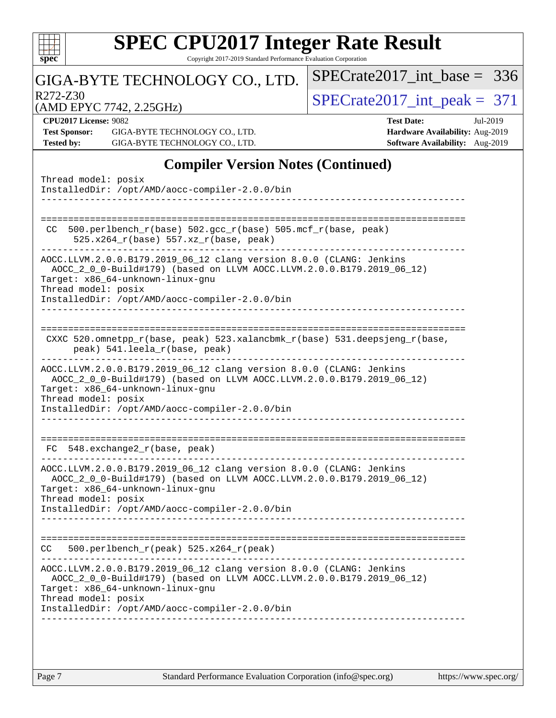| $spec^*$          |                                               | <b>SPEC CPU2017 Integer Rate Result</b>                                                                                                                                                                                                                   |  |  | Copyright 2017-2019 Standard Performance Evaluation Corporation |                                 |                   |                                                                           |                               |
|-------------------|-----------------------------------------------|-----------------------------------------------------------------------------------------------------------------------------------------------------------------------------------------------------------------------------------------------------------|--|--|-----------------------------------------------------------------|---------------------------------|-------------------|---------------------------------------------------------------------------|-------------------------------|
|                   |                                               | GIGA-BYTE TECHNOLOGY CO., LTD.                                                                                                                                                                                                                            |  |  |                                                                 |                                 |                   |                                                                           | $SPECrate2017$ int base = 336 |
| R272-Z30          |                                               | (AMD EPYC 7742, 2.25GHz)                                                                                                                                                                                                                                  |  |  |                                                                 | $SPECrate2017\_int\_peak = 371$ |                   |                                                                           |                               |
| <b>Tested by:</b> | CPU2017 License: 9082<br><b>Test Sponsor:</b> | GIGA-BYTE TECHNOLOGY CO., LTD.<br>GIGA-BYTE TECHNOLOGY CO., LTD.                                                                                                                                                                                          |  |  |                                                                 |                                 | <b>Test Date:</b> | Hardware Availability: Aug-2019<br><b>Software Availability:</b> Aug-2019 | Jul-2019                      |
|                   |                                               |                                                                                                                                                                                                                                                           |  |  | <b>Compiler Version Notes (Continued)</b>                       |                                 |                   |                                                                           |                               |
|                   |                                               | Thread model: posix<br>InstalledDir: /opt/AMD/aocc-compiler-2.0.0/bin                                                                                                                                                                                     |  |  |                                                                 |                                 |                   |                                                                           |                               |
| CC                |                                               | 500.perlbench_r(base) 502.gcc_r(base) 505.mcf_r(base, peak)<br>525.x264_r(base) 557.xz_r(base, peak)                                                                                                                                                      |  |  |                                                                 | ========================        |                   |                                                                           |                               |
|                   |                                               | AOCC.LLVM.2.0.0.B179.2019_06_12 clang version 8.0.0 (CLANG: Jenkins<br>AOCC_2_0_0-Build#179) (based on LLVM AOCC.LLVM.2.0.0.B179.2019_06_12)<br>Target: x86_64-unknown-linux-gnu<br>Thread model: posix<br>InstalledDir: /opt/AMD/aocc-compiler-2.0.0/bin |  |  |                                                                 |                                 |                   |                                                                           |                               |
|                   |                                               | CXXC 520.omnetpp_r(base, peak) 523.xalancbmk_r(base) 531.deepsjeng_r(base,<br>peak) 541.leela_r(base, peak)<br>AOCC.LLVM.2.0.0.B179.2019_06_12 clang version 8.0.0 (CLANG: Jenkins                                                                        |  |  |                                                                 |                                 |                   |                                                                           |                               |
|                   |                                               | AOCC_2_0_0-Build#179) (based on LLVM AOCC.LLVM.2.0.0.B179.2019_06_12)<br>Target: x86_64-unknown-linux-gnu<br>Thread model: posix<br>InstalledDir: /opt/AMD/aocc-compiler-2.0.0/bin                                                                        |  |  |                                                                 |                                 |                   |                                                                           |                               |
|                   |                                               | $FC$ 548. exchange $2_r$ (base, peak)                                                                                                                                                                                                                     |  |  |                                                                 |                                 |                   |                                                                           |                               |
|                   |                                               | AOCC.LLVM.2.0.0.B179.2019_06_12 clang version 8.0.0 (CLANG: Jenkins<br>AOCC_2_0_0-Build#179) (based on LLVM AOCC.LLVM.2.0.0.B179.2019_06_12)<br>Target: x86_64-unknown-linux-gnu<br>Thread model: posix                                                   |  |  |                                                                 |                                 |                   |                                                                           |                               |
|                   |                                               | InstalledDir: /opt/AMD/aocc-compiler-2.0.0/bin                                                                                                                                                                                                            |  |  |                                                                 |                                 |                   |                                                                           |                               |
| CC.               |                                               | 500.perlbench_r(peak) 525.x264_r(peak)                                                                                                                                                                                                                    |  |  |                                                                 |                                 |                   |                                                                           |                               |
|                   |                                               | AOCC.LLVM.2.0.0.B179.2019_06_12 clang version 8.0.0 (CLANG: Jenkins<br>AOCC_2_0_0-Build#179) (based on LLVM AOCC.LLVM.2.0.0.B179.2019_06_12)<br>Target: x86_64-unknown-linux-gnu<br>Thread model: posix                                                   |  |  |                                                                 |                                 |                   |                                                                           |                               |
|                   |                                               | InstalledDir: /opt/AMD/aocc-compiler-2.0.0/bin                                                                                                                                                                                                            |  |  |                                                                 |                                 |                   |                                                                           |                               |
|                   |                                               |                                                                                                                                                                                                                                                           |  |  |                                                                 |                                 |                   |                                                                           |                               |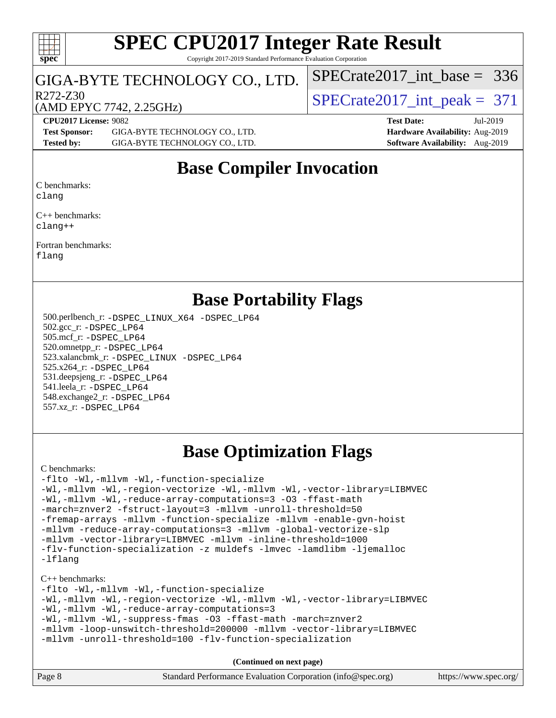#### $+\ +$ **[spec](http://www.spec.org/)**

#### **[SPEC CPU2017 Integer Rate Result](http://www.spec.org/auto/cpu2017/Docs/result-fields.html#SPECCPU2017IntegerRateResult)** Copyright 2017-2019 Standard Performance Evaluation Corporation

### GIGA-BYTE TECHNOLOGY CO., LTD.

R272-Z30<br>  $\begin{array}{|l|l|}\n\hline\n\text{R272-Z30}}\n\hline\n\text{M1} & \text{R272-Z30}}\n\hline\n\end{array}$   $\begin{array}{|l|l|}\n\hline\n\text{SPECrate2017\_int\_peak} = 371\n\hline\n\end{array}$ 

[SPECrate2017\\_int\\_base =](http://www.spec.org/auto/cpu2017/Docs/result-fields.html#SPECrate2017intbase) 336

### (AMD EPYC 7742, 2.25GHz)

**[Test Sponsor:](http://www.spec.org/auto/cpu2017/Docs/result-fields.html#TestSponsor)** GIGA-BYTE TECHNOLOGY CO., LTD. **[Hardware Availability:](http://www.spec.org/auto/cpu2017/Docs/result-fields.html#HardwareAvailability)** Aug-2019 **[Tested by:](http://www.spec.org/auto/cpu2017/Docs/result-fields.html#Testedby)** GIGA-BYTE TECHNOLOGY CO., LTD. **[Software Availability:](http://www.spec.org/auto/cpu2017/Docs/result-fields.html#SoftwareAvailability)** Aug-2019

**[CPU2017 License:](http://www.spec.org/auto/cpu2017/Docs/result-fields.html#CPU2017License)** 9082 **[Test Date:](http://www.spec.org/auto/cpu2017/Docs/result-fields.html#TestDate)** Jul-2019

### **[Base Compiler Invocation](http://www.spec.org/auto/cpu2017/Docs/result-fields.html#BaseCompilerInvocation)**

[C benchmarks](http://www.spec.org/auto/cpu2017/Docs/result-fields.html#Cbenchmarks):

[clang](http://www.spec.org/cpu2017/results/res2019q3/cpu2017-20190722-16243.flags.html#user_CCbase_clang-c)

[C++ benchmarks:](http://www.spec.org/auto/cpu2017/Docs/result-fields.html#CXXbenchmarks) [clang++](http://www.spec.org/cpu2017/results/res2019q3/cpu2017-20190722-16243.flags.html#user_CXXbase_clang-cpp)

[Fortran benchmarks](http://www.spec.org/auto/cpu2017/Docs/result-fields.html#Fortranbenchmarks):

[flang](http://www.spec.org/cpu2017/results/res2019q3/cpu2017-20190722-16243.flags.html#user_FCbase_flang)

### **[Base Portability Flags](http://www.spec.org/auto/cpu2017/Docs/result-fields.html#BasePortabilityFlags)**

 500.perlbench\_r: [-DSPEC\\_LINUX\\_X64](http://www.spec.org/cpu2017/results/res2019q3/cpu2017-20190722-16243.flags.html#b500.perlbench_r_basePORTABILITY_DSPEC_LINUX_X64) [-DSPEC\\_LP64](http://www.spec.org/cpu2017/results/res2019q3/cpu2017-20190722-16243.flags.html#b500.perlbench_r_baseEXTRA_PORTABILITY_DSPEC_LP64) 502.gcc\_r: [-DSPEC\\_LP64](http://www.spec.org/cpu2017/results/res2019q3/cpu2017-20190722-16243.flags.html#suite_baseEXTRA_PORTABILITY502_gcc_r_DSPEC_LP64) 505.mcf\_r: [-DSPEC\\_LP64](http://www.spec.org/cpu2017/results/res2019q3/cpu2017-20190722-16243.flags.html#suite_baseEXTRA_PORTABILITY505_mcf_r_DSPEC_LP64) 520.omnetpp\_r: [-DSPEC\\_LP64](http://www.spec.org/cpu2017/results/res2019q3/cpu2017-20190722-16243.flags.html#suite_baseEXTRA_PORTABILITY520_omnetpp_r_DSPEC_LP64) 523.xalancbmk\_r: [-DSPEC\\_LINUX](http://www.spec.org/cpu2017/results/res2019q3/cpu2017-20190722-16243.flags.html#b523.xalancbmk_r_basePORTABILITY_DSPEC_LINUX) [-DSPEC\\_LP64](http://www.spec.org/cpu2017/results/res2019q3/cpu2017-20190722-16243.flags.html#suite_baseEXTRA_PORTABILITY523_xalancbmk_r_DSPEC_LP64) 525.x264\_r: [-DSPEC\\_LP64](http://www.spec.org/cpu2017/results/res2019q3/cpu2017-20190722-16243.flags.html#suite_baseEXTRA_PORTABILITY525_x264_r_DSPEC_LP64) 531.deepsjeng\_r: [-DSPEC\\_LP64](http://www.spec.org/cpu2017/results/res2019q3/cpu2017-20190722-16243.flags.html#suite_baseEXTRA_PORTABILITY531_deepsjeng_r_DSPEC_LP64) 541.leela\_r: [-DSPEC\\_LP64](http://www.spec.org/cpu2017/results/res2019q3/cpu2017-20190722-16243.flags.html#suite_baseEXTRA_PORTABILITY541_leela_r_DSPEC_LP64) 548.exchange2\_r: [-DSPEC\\_LP64](http://www.spec.org/cpu2017/results/res2019q3/cpu2017-20190722-16243.flags.html#suite_baseEXTRA_PORTABILITY548_exchange2_r_DSPEC_LP64) 557.xz\_r: [-DSPEC\\_LP64](http://www.spec.org/cpu2017/results/res2019q3/cpu2017-20190722-16243.flags.html#suite_baseEXTRA_PORTABILITY557_xz_r_DSPEC_LP64)

### **[Base Optimization Flags](http://www.spec.org/auto/cpu2017/Docs/result-fields.html#BaseOptimizationFlags)**

[C benchmarks](http://www.spec.org/auto/cpu2017/Docs/result-fields.html#Cbenchmarks):

```
-flto -Wl,-mllvm -Wl,-function-specialize
-Wl,-mllvm -Wl,-region-vectorize -Wl,-mllvm -Wl,-vector-library=LIBMVEC
-Wl,-mllvm -Wl,-reduce-array-computations=3 -O3 -ffast-math
-march=znver2 -fstruct-layout=3 -mllvm -unroll-threshold=50
-fremap-arrays -mllvm -function-specialize -mllvm -enable-gvn-hoist
-mllvm -reduce-array-computations=3 -mllvm -global-vectorize-slp
-mllvm -vector-library=LIBMVEC -mllvm -inline-threshold=1000
-flv-function-specialization -z muldefs -lmvec -lamdlibm -ljemalloc
-lflang
```
[C++ benchmarks:](http://www.spec.org/auto/cpu2017/Docs/result-fields.html#CXXbenchmarks)

| -flto -Wl,-mllvm -Wl,-function-specialize                               |  |  |  |  |  |  |
|-------------------------------------------------------------------------|--|--|--|--|--|--|
| -Wl,-mllvm -Wl,-region-vectorize -Wl,-mllvm -Wl,-vector-library=LIBMVEC |  |  |  |  |  |  |
| -Wl,-mllvm -Wl,-reduce-array-computations=3                             |  |  |  |  |  |  |
| -Wl,-mllvm -Wl,-suppress-fmas -03 -ffast-math -march=znver2             |  |  |  |  |  |  |
| -mllvm -loop-unswitch-threshold=200000 -mllvm -vector-library=LIBMVEC   |  |  |  |  |  |  |
| -mllvm -unroll-threshold=100 -flv-function-specialization               |  |  |  |  |  |  |

**(Continued on next page)**

| Page 8 | Standard Performance Evaluation Corporation (info@spec.org) | https://www.spec.org/ |
|--------|-------------------------------------------------------------|-----------------------|
|--------|-------------------------------------------------------------|-----------------------|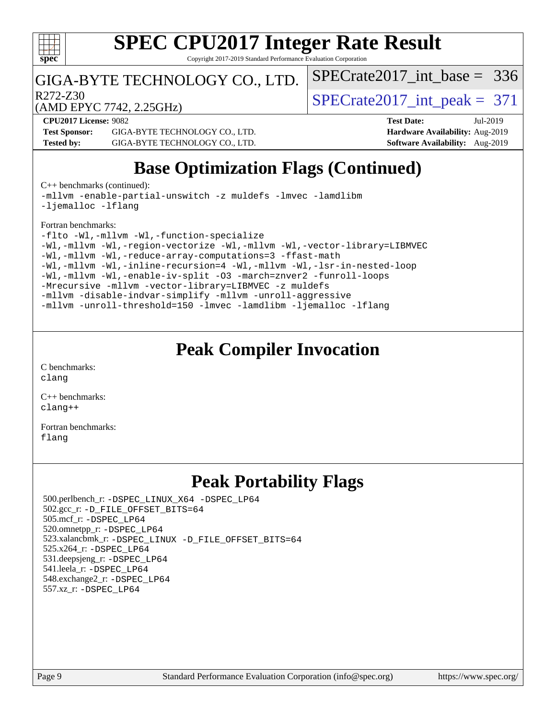

Copyright 2017-2019 Standard Performance Evaluation Corporation

### GIGA-BYTE TECHNOLOGY CO., LTD.

 $R272-Z30$ <br>  $\langle \text{MDEPVC } 7742, 225 \text{GHz} \rangle$   $\langle \text{SPECrate} 2017 \text{int\_peak} = 371 \rangle$ 

[SPECrate2017\\_int\\_base =](http://www.spec.org/auto/cpu2017/Docs/result-fields.html#SPECrate2017intbase) 336

(AMD EPYC 7742, 2.25GHz)

**[CPU2017 License:](http://www.spec.org/auto/cpu2017/Docs/result-fields.html#CPU2017License)** 9082 **[Test Date:](http://www.spec.org/auto/cpu2017/Docs/result-fields.html#TestDate)** Jul-2019 **[Test Sponsor:](http://www.spec.org/auto/cpu2017/Docs/result-fields.html#TestSponsor)** GIGA-BYTE TECHNOLOGY CO., LTD. **[Hardware Availability:](http://www.spec.org/auto/cpu2017/Docs/result-fields.html#HardwareAvailability)** Aug-2019 **[Tested by:](http://www.spec.org/auto/cpu2017/Docs/result-fields.html#Testedby)** GIGA-BYTE TECHNOLOGY CO., LTD. **[Software Availability:](http://www.spec.org/auto/cpu2017/Docs/result-fields.html#SoftwareAvailability)** Aug-2019

### **[Base Optimization Flags \(Continued\)](http://www.spec.org/auto/cpu2017/Docs/result-fields.html#BaseOptimizationFlags)**

[C++ benchmarks](http://www.spec.org/auto/cpu2017/Docs/result-fields.html#CXXbenchmarks) (continued):

[-mllvm -enable-partial-unswitch](http://www.spec.org/cpu2017/results/res2019q3/cpu2017-20190722-16243.flags.html#user_CXXbase_F-enable-partial-unswitch_6e1c33f981d77963b1eaf834973128a7f33ce3f8e27f54689656697a35e89dcc875281e0e6283d043e32f367dcb605ba0e307a92e830f7e326789fa6c61b35d3) [-z muldefs](http://www.spec.org/cpu2017/results/res2019q3/cpu2017-20190722-16243.flags.html#user_CXXbase_aocc-muldefs) [-lmvec](http://www.spec.org/cpu2017/results/res2019q3/cpu2017-20190722-16243.flags.html#user_CXXbase_F-lmvec) [-lamdlibm](http://www.spec.org/cpu2017/results/res2019q3/cpu2017-20190722-16243.flags.html#user_CXXbase_F-lamdlibm) [-ljemalloc](http://www.spec.org/cpu2017/results/res2019q3/cpu2017-20190722-16243.flags.html#user_CXXbase_jemalloc-lib) [-lflang](http://www.spec.org/cpu2017/results/res2019q3/cpu2017-20190722-16243.flags.html#user_CXXbase_F-lflang)

[Fortran benchmarks](http://www.spec.org/auto/cpu2017/Docs/result-fields.html#Fortranbenchmarks):

```
-flto -Wl,-mllvm -Wl,-function-specialize
-Wl,-mllvm -Wl,-region-vectorize-Wl,-mllvm -Wl,-vector-library=LIBMVEC
-Wl,-mllvm -Wl,-reduce-array-computations=3 -ffast-math
-Wl,-mllvm -Wl,-inline-recursion=4 -Wl,-mllvm -Wl,-lsr-in-nested-loop
-Wl,-mllvm -Wl,-enable-iv-split -O3 -march=znver2 -funroll-loops
-Mrecursive -mllvm -vector-library=LIBMVEC -z muldefs
-mllvm -disable-indvar-simplify -mllvm -unroll-aggressive
-mllvm -unroll-threshold=150 -lmvec -lamdlibm -ljemalloc -lflang
```
### **[Peak Compiler Invocation](http://www.spec.org/auto/cpu2017/Docs/result-fields.html#PeakCompilerInvocation)**

[C benchmarks](http://www.spec.org/auto/cpu2017/Docs/result-fields.html#Cbenchmarks): [clang](http://www.spec.org/cpu2017/results/res2019q3/cpu2017-20190722-16243.flags.html#user_CCpeak_clang-c)

[C++ benchmarks:](http://www.spec.org/auto/cpu2017/Docs/result-fields.html#CXXbenchmarks) [clang++](http://www.spec.org/cpu2017/results/res2019q3/cpu2017-20190722-16243.flags.html#user_CXXpeak_clang-cpp)

[Fortran benchmarks](http://www.spec.org/auto/cpu2017/Docs/result-fields.html#Fortranbenchmarks): [flang](http://www.spec.org/cpu2017/results/res2019q3/cpu2017-20190722-16243.flags.html#user_FCpeak_flang)

### **[Peak Portability Flags](http://www.spec.org/auto/cpu2017/Docs/result-fields.html#PeakPortabilityFlags)**

 500.perlbench\_r: [-DSPEC\\_LINUX\\_X64](http://www.spec.org/cpu2017/results/res2019q3/cpu2017-20190722-16243.flags.html#b500.perlbench_r_peakPORTABILITY_DSPEC_LINUX_X64) [-DSPEC\\_LP64](http://www.spec.org/cpu2017/results/res2019q3/cpu2017-20190722-16243.flags.html#b500.perlbench_r_peakEXTRA_PORTABILITY_DSPEC_LP64) 502.gcc\_r: [-D\\_FILE\\_OFFSET\\_BITS=64](http://www.spec.org/cpu2017/results/res2019q3/cpu2017-20190722-16243.flags.html#user_peakEXTRA_PORTABILITY502_gcc_r_F-D_FILE_OFFSET_BITS_5ae949a99b284ddf4e95728d47cb0843d81b2eb0e18bdfe74bbf0f61d0b064f4bda2f10ea5eb90e1dcab0e84dbc592acfc5018bc955c18609f94ddb8d550002c) 505.mcf\_r: [-DSPEC\\_LP64](http://www.spec.org/cpu2017/results/res2019q3/cpu2017-20190722-16243.flags.html#suite_peakEXTRA_PORTABILITY505_mcf_r_DSPEC_LP64) 520.omnetpp\_r: [-DSPEC\\_LP64](http://www.spec.org/cpu2017/results/res2019q3/cpu2017-20190722-16243.flags.html#suite_peakEXTRA_PORTABILITY520_omnetpp_r_DSPEC_LP64) 523.xalancbmk\_r: [-DSPEC\\_LINUX](http://www.spec.org/cpu2017/results/res2019q3/cpu2017-20190722-16243.flags.html#b523.xalancbmk_r_peakPORTABILITY_DSPEC_LINUX) [-D\\_FILE\\_OFFSET\\_BITS=64](http://www.spec.org/cpu2017/results/res2019q3/cpu2017-20190722-16243.flags.html#user_peakEXTRA_PORTABILITY523_xalancbmk_r_F-D_FILE_OFFSET_BITS_5ae949a99b284ddf4e95728d47cb0843d81b2eb0e18bdfe74bbf0f61d0b064f4bda2f10ea5eb90e1dcab0e84dbc592acfc5018bc955c18609f94ddb8d550002c) 525.x264\_r: [-DSPEC\\_LP64](http://www.spec.org/cpu2017/results/res2019q3/cpu2017-20190722-16243.flags.html#suite_peakEXTRA_PORTABILITY525_x264_r_DSPEC_LP64) 531.deepsjeng\_r: [-DSPEC\\_LP64](http://www.spec.org/cpu2017/results/res2019q3/cpu2017-20190722-16243.flags.html#suite_peakEXTRA_PORTABILITY531_deepsjeng_r_DSPEC_LP64) 541.leela\_r: [-DSPEC\\_LP64](http://www.spec.org/cpu2017/results/res2019q3/cpu2017-20190722-16243.flags.html#suite_peakEXTRA_PORTABILITY541_leela_r_DSPEC_LP64) 548.exchange2\_r: [-DSPEC\\_LP64](http://www.spec.org/cpu2017/results/res2019q3/cpu2017-20190722-16243.flags.html#suite_peakEXTRA_PORTABILITY548_exchange2_r_DSPEC_LP64) 557.xz\_r: [-DSPEC\\_LP64](http://www.spec.org/cpu2017/results/res2019q3/cpu2017-20190722-16243.flags.html#suite_peakEXTRA_PORTABILITY557_xz_r_DSPEC_LP64)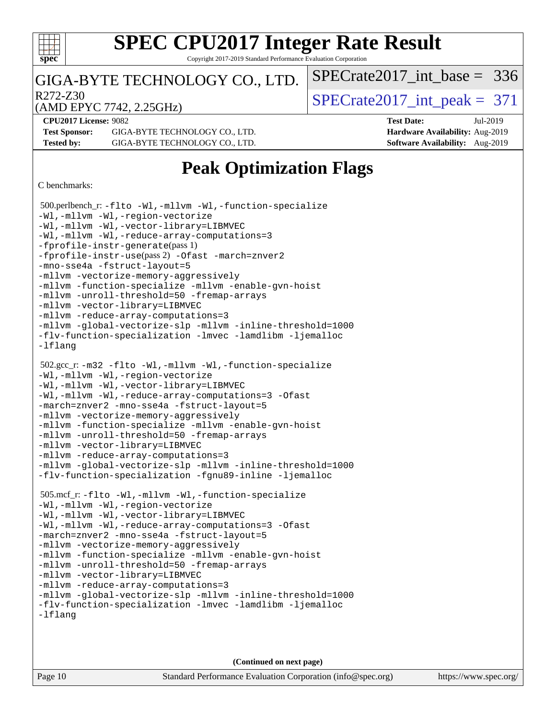

Copyright 2017-2019 Standard Performance Evaluation Corporation

### GIGA-BYTE TECHNOLOGY CO., LTD.

 $R272-Z30$ <br>  $\langle \text{MDEPVC } 7742, 225 \text{GHz} \rangle$   $\langle \text{SPECrate} 2017 \text{int\_peak} = 371 \rangle$ 

[SPECrate2017\\_int\\_base =](http://www.spec.org/auto/cpu2017/Docs/result-fields.html#SPECrate2017intbase) 336

(AMD EPYC 7742, 2.25GHz)

**[CPU2017 License:](http://www.spec.org/auto/cpu2017/Docs/result-fields.html#CPU2017License)** 9082 **[Test Date:](http://www.spec.org/auto/cpu2017/Docs/result-fields.html#TestDate)** Jul-2019

**[Test Sponsor:](http://www.spec.org/auto/cpu2017/Docs/result-fields.html#TestSponsor)** GIGA-BYTE TECHNOLOGY CO., LTD. **[Hardware Availability:](http://www.spec.org/auto/cpu2017/Docs/result-fields.html#HardwareAvailability)** Aug-2019 **[Tested by:](http://www.spec.org/auto/cpu2017/Docs/result-fields.html#Testedby)** GIGA-BYTE TECHNOLOGY CO., LTD. **[Software Availability:](http://www.spec.org/auto/cpu2017/Docs/result-fields.html#SoftwareAvailability)** Aug-2019

### **[Peak Optimization Flags](http://www.spec.org/auto/cpu2017/Docs/result-fields.html#PeakOptimizationFlags)**

[C benchmarks](http://www.spec.org/auto/cpu2017/Docs/result-fields.html#Cbenchmarks):

```
 500.perlbench_r: -flto -Wl,-mllvm -Wl,-function-specialize
-Wl,-mllvm -Wl,-region-vectorize
-Wl,-mllvm -Wl,-vector-library=LIBMVEC
-Wl,-mllvm -Wl,-reduce-array-computations=3
-fprofile-instr-generate(pass 1)
-fprofile-instr-use(pass 2) -Ofast -march=znver2
-mno-sse4a -fstruct-layout=5
-mllvm -vectorize-memory-aggressively
-mllvm -function-specialize -mllvm -enable-gvn-hoist
-mllvm -unroll-threshold=50 -fremap-arrays
-mllvm -vector-library=LIBMVEC
-mllvm -reduce-array-computations=3
-mllvm -global-vectorize-slp -mllvm -inline-threshold=1000
-flv-function-specialization -lmvec -lamdlibm -ljemalloc
-lflang
 502.gcc_r: -m32 -flto -Wl,-mllvm -Wl,-function-specialize
-Wl,-mllvm -Wl,-region-vectorize
-Wl,-mllvm -Wl,-vector-library=LIBMVEC
-Wl,-mllvm -Wl,-reduce-array-computations=3 -Ofast
-march=znver2 -mno-sse4a -fstruct-layout=5
-mllvm -vectorize-memory-aggressively
-mllvm -function-specialize -mllvm -enable-gvn-hoist
-mllvm -unroll-threshold=50 -fremap-arrays
-mllvm -vector-library=LIBMVEC
-mllvm -reduce-array-computations=3
-mllvm -global-vectorize-slp -mllvm -inline-threshold=1000
-flv-function-specialization -fgnu89-inline -ljemalloc
 505.mcf_r: -flto -Wl,-mllvm -Wl,-function-specialize
-Wl,-mllvm -Wl,-region-vectorize
-Wl,-mllvm -Wl,-vector-library=LIBMVEC
-Wl,-mllvm -Wl,-reduce-array-computations=3 -Ofast
-march=znver2 -mno-sse4a -fstruct-layout=5
-mllvm -vectorize-memory-aggressively
-mllvm -function-specialize -mllvm -enable-gvn-hoist
-mllvm -unroll-threshold=50 -fremap-arrays
-mllvm -vector-library=LIBMVEC
-mllvm -reduce-array-computations=3
-mllvm -global-vectorize-slp -mllvm -inline-threshold=1000
-flv-function-specialization -lmvec -lamdlibm -ljemalloc
-lflang
```
**(Continued on next page)**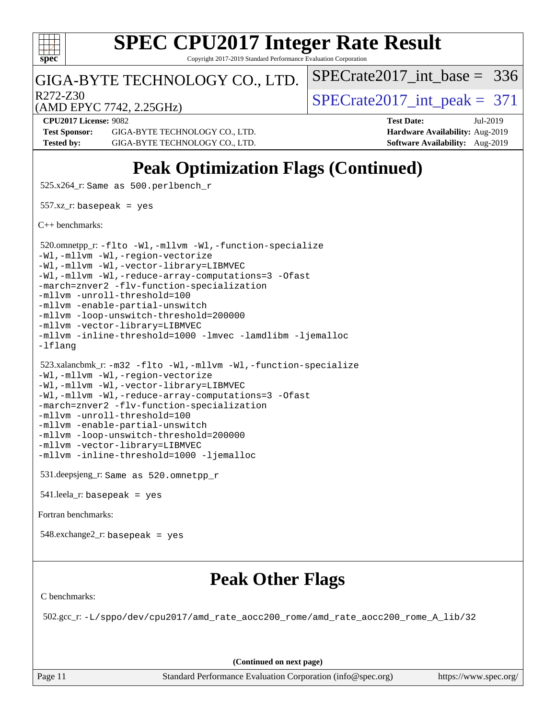

Copyright 2017-2019 Standard Performance Evaluation Corporation

### GIGA-BYTE TECHNOLOGY CO., LTD.

 $R272-Z30$ <br>  $\langle \text{MDEPVC } 7742, 225 \text{GHz} \rangle$   $\langle \text{SPECrate } 2017 \text{ int } \text{peak } = 371 \rangle$ 

[SPECrate2017\\_int\\_base =](http://www.spec.org/auto/cpu2017/Docs/result-fields.html#SPECrate2017intbase) 336

(AMD EPYC 7742, 2.25GHz)

**[Test Sponsor:](http://www.spec.org/auto/cpu2017/Docs/result-fields.html#TestSponsor)** GIGA-BYTE TECHNOLOGY CO., LTD. **[Hardware Availability:](http://www.spec.org/auto/cpu2017/Docs/result-fields.html#HardwareAvailability)** Aug-2019 **[Tested by:](http://www.spec.org/auto/cpu2017/Docs/result-fields.html#Testedby)** GIGA-BYTE TECHNOLOGY CO., LTD. **[Software Availability:](http://www.spec.org/auto/cpu2017/Docs/result-fields.html#SoftwareAvailability)** Aug-2019

**[CPU2017 License:](http://www.spec.org/auto/cpu2017/Docs/result-fields.html#CPU2017License)** 9082 **[Test Date:](http://www.spec.org/auto/cpu2017/Docs/result-fields.html#TestDate)** Jul-2019

### **[Peak Optimization Flags \(Continued\)](http://www.spec.org/auto/cpu2017/Docs/result-fields.html#PeakOptimizationFlags)**

525.x264\_r: Same as 500.perlbench\_r

 $557.xz$ \_r: basepeak = yes

[C++ benchmarks:](http://www.spec.org/auto/cpu2017/Docs/result-fields.html#CXXbenchmarks)

```
 520.omnetpp_r: -flto -Wl,-mllvm -Wl,-function-specialize
-Wl,-mllvm -Wl,-region-vectorize
-Wl,-mllvm -Wl,-vector-library=LIBMVEC
-Wl,-mllvm -Wl,-reduce-array-computations=3 -Ofast
-march=znver2 -flv-function-specialization
-mllvm -unroll-threshold=100
-mllvm -enable-partial-unswitch
-mllvm -loop-unswitch-threshold=200000
-mllvm -vector-library=LIBMVEC
-mllvm -inline-threshold=1000 -lmvec -lamdlibm -ljemalloc
-lflang
 523.xalancbmk_r: -m32 -flto -Wl,-mllvm -Wl,-function-specialize
-Wl,-mllvm -Wl,-region-vectorize
-Wl,-mllvm -Wl,-vector-library=LIBMVEC
-Wl,-mllvm -Wl,-reduce-array-computations=3 -Ofast
-march=znver2 -flv-function-specialization
-mllvm -unroll-threshold=100
-mllvm -enable-partial-unswitch
-mllvm -loop-unswitch-threshold=200000
-mllvm -vector-library=LIBMVEC
-mllvm -inline-threshold=1000 -ljemalloc
 531.deepsjeng_r: Same as 520.omnetpp_r
```
541.leela\_r: basepeak = yes

[Fortran benchmarks](http://www.spec.org/auto/cpu2017/Docs/result-fields.html#Fortranbenchmarks):

548.exchange2\_r: basepeak = yes

### **[Peak Other Flags](http://www.spec.org/auto/cpu2017/Docs/result-fields.html#PeakOtherFlags)**

[C benchmarks](http://www.spec.org/auto/cpu2017/Docs/result-fields.html#Cbenchmarks):

502.gcc\_r: [-L/sppo/dev/cpu2017/amd\\_rate\\_aocc200\\_rome/amd\\_rate\\_aocc200\\_rome\\_A\\_lib/32](http://www.spec.org/cpu2017/results/res2019q3/cpu2017-20190722-16243.flags.html#user_peakEXTRA_LIBS502_gcc_r_Link_path_b6cb1cb23660f74064de6bd88c46635c9e4a368fb7dae337a9a6ffd29ebe584f64da5de76ae9170a3cc942be1f85a245f6343946e307612b1c1d1f180eb62cc7)

**(Continued on next page)**

Page 11 Standard Performance Evaluation Corporation [\(info@spec.org\)](mailto:info@spec.org) <https://www.spec.org/>